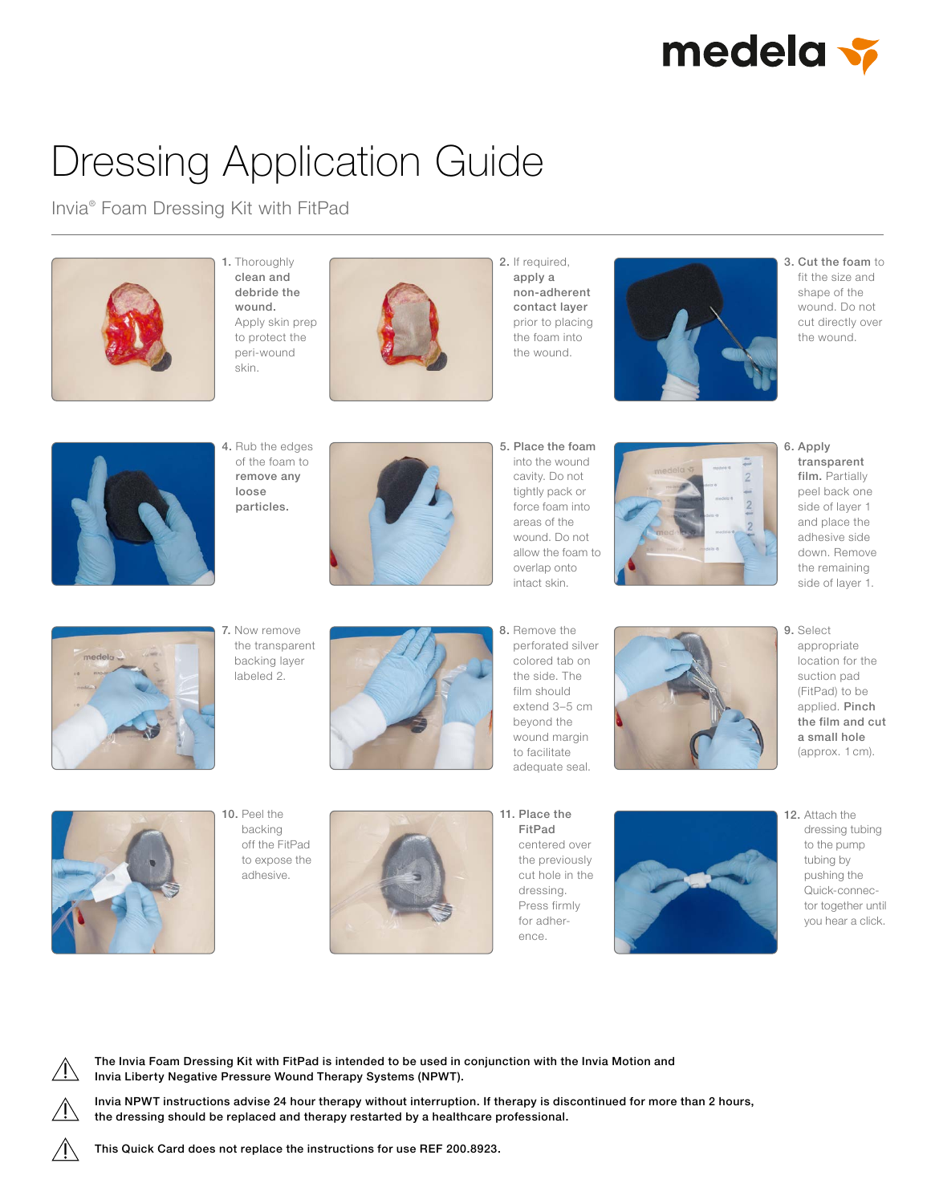

## Dressing Application Guide

Invia® Foam Dressing Kit with FitPad



1. Thoroughly clean and debride the wound. Apply skin prep to protect the peri-wound skin.



2. If required, apply a non-adherent contact layer prior to placing the foam into the wound.



3. Cut the foam to fit the size and shape of the wound. Do not cut directly over the wound.



4. Rub the edges of the foam to remove any loose particles.



5. Place the foam into the wound cavity. Do not tightly pack or force foam into areas of the wound. Do not allow the foam to overlap onto intact skin.



6. Apply transparent film. Partially peel back one side of layer 1 and place the adhesive side down. Remove the remaining side of layer 1.



7. Now remove the transparent backing layer labeled 2.



8. Remove the perforated silver colored tab on the side. The film should extend 3–5 cm beyond the wound margin to facilitate adequate seal.



9. Select appropriate location for the suction pad (FitPad) to be applied. Pinch the film and cut a small hole (approx. 1 cm).



10. Peel the backing off the FitPad to expose the adhesive.



11. Place the FitPad centered over the previously cut hole in the dressing. Press firmly for adherence.



12. Attach the dressing tubing to the pump tubing by pushing the Quick-connector together until you hear a click.